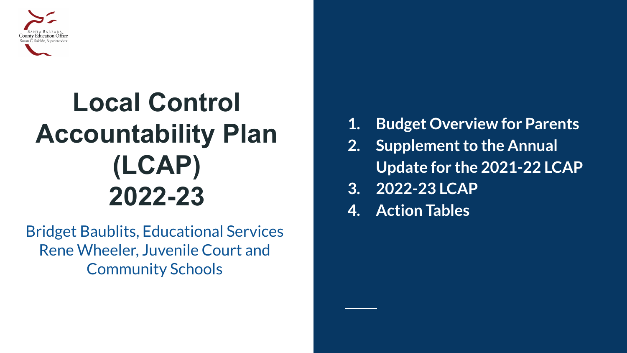

### **Local Control Accountability Plan (LCAP) 2022-23**

Bridget Baublits, Educational Services Rene Wheeler, Juvenile Court and Community Schools

- **1. Budget Overview for Parents**
- **2. Supplement to the Annual Update for the 2021-22 LCAP**
- **3. 2022-23 LCAP**
- **4. Action Tables**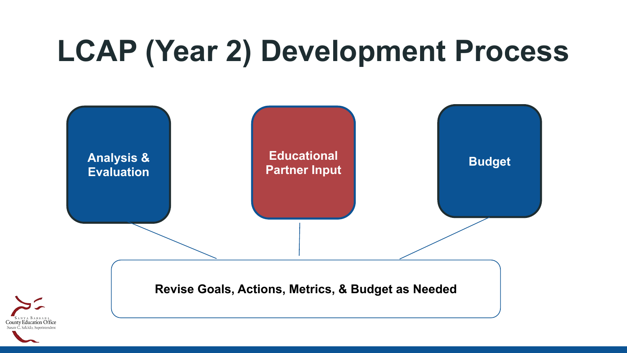# **LCAP (Year 2) Development Process**

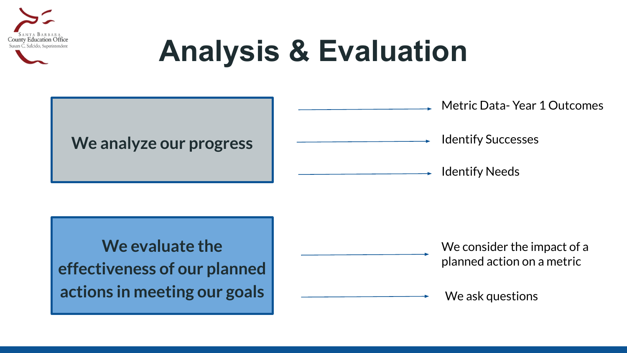

# **Analysis & Evaluation**

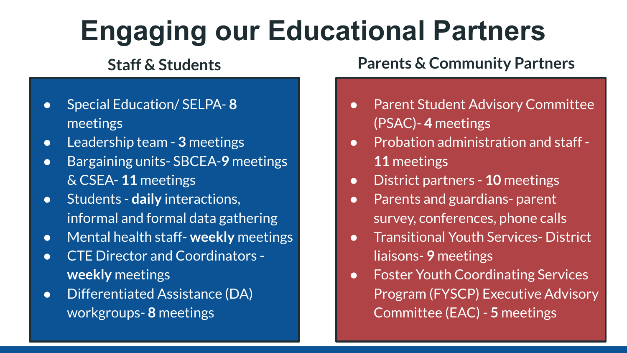## **Engaging our Educational Partners**

- Special Education/ SELPA- **8**  meetings
- Leadership team **3** meetings
- Bargaining units- SBCEA-**9** meetings & CSEA- **11** meetings
- Students **daily** interactions, informal and formal data gathering
- Mental health staff- **weekly** meetings
- CTE Director and Coordinators **weekly** meetings
- Differentiated Assistance (DA) workgroups- **8** meetings

#### **Staff & Students Parents & Community Partners**

- Parent Student Advisory Committee (PSAC)- **4** meetings
- Probation administration and staff -**11** meetings
- District partners **10** meetings
- Parents and guardians-parent survey, conferences, phone calls
- Transitional Youth Services- District liaisons- **9** meetings
- Foster Youth Coordinating Services Program (FYSCP) Executive Advisory Committee (EAC) - **5** meetings